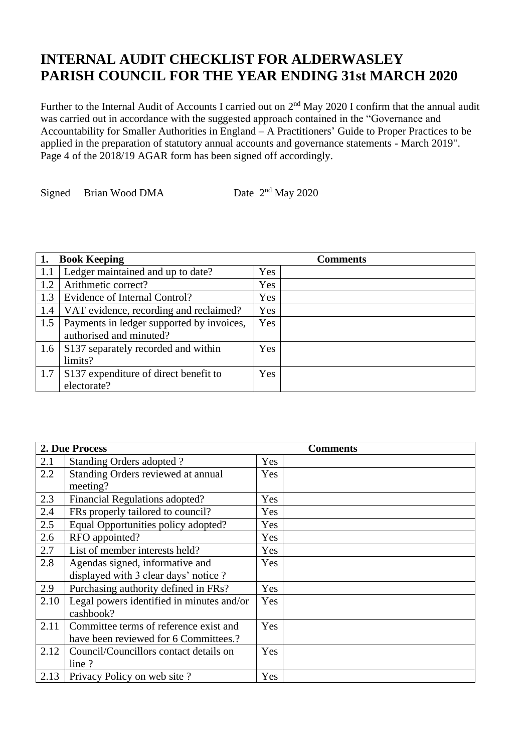## **INTERNAL AUDIT CHECKLIST FOR ALDERWASLEY PARISH COUNCIL FOR THE YEAR ENDING 31st MARCH 2020**

Further to the Internal Audit of Accounts I carried out on  $2<sup>nd</sup>$  May 2020 I confirm that the annual audit was carried out in accordance with the suggested approach contained in the "Governance and Accountability for Smaller Authorities in England – A Practitioners' Guide to Proper Practices to be applied in the preparation of statutory annual accounts and governance statements - March 2019". Page 4 of the 2018/19 AGAR form has been signed off accordingly.

Signed Brian Wood DMA Date  $2<sup>nd</sup>$  May 2020

|     | <b>Book Keeping</b>                       |            | <b>Comments</b> |
|-----|-------------------------------------------|------------|-----------------|
| 1.1 | Ledger maintained and up to date?         | Yes        |                 |
| 1.2 | Arithmetic correct?                       | Yes        |                 |
| 1.3 | Evidence of Internal Control?             | Yes        |                 |
| 1.4 | VAT evidence, recording and reclaimed?    | Yes        |                 |
| 1.5 | Payments in ledger supported by invoices, | <b>Yes</b> |                 |
|     | authorised and minuted?                   |            |                 |
| 1.6 | S137 separately recorded and within       | Yes        |                 |
|     | limits?                                   |            |                 |
| 1.7 | S137 expenditure of direct benefit to     | Yes        |                 |
|     | electorate?                               |            |                 |

|      | 2. Due Process                            |     | <b>Comments</b> |
|------|-------------------------------------------|-----|-----------------|
| 2.1  | Standing Orders adopted ?                 | Yes |                 |
| 2.2  | Standing Orders reviewed at annual        | Yes |                 |
|      | meeting?                                  |     |                 |
| 2.3  | Financial Regulations adopted?            | Yes |                 |
| 2.4  | FRs properly tailored to council?         | Yes |                 |
| 2.5  | Equal Opportunities policy adopted?       | Yes |                 |
| 2.6  | RFO appointed?                            | Yes |                 |
| 2.7  | List of member interests held?            | Yes |                 |
| 2.8  | Agendas signed, informative and           | Yes |                 |
|      | displayed with 3 clear days' notice ?     |     |                 |
| 2.9  | Purchasing authority defined in FRs?      | Yes |                 |
| 2.10 | Legal powers identified in minutes and/or | Yes |                 |
|      | cashbook?                                 |     |                 |
| 2.11 | Committee terms of reference exist and    | Yes |                 |
|      | have been reviewed for 6 Committees.?     |     |                 |
| 2.12 | Council/Councillors contact details on    | Yes |                 |
|      | line?                                     |     |                 |
| 2.13 | Privacy Policy on web site?               | Yes |                 |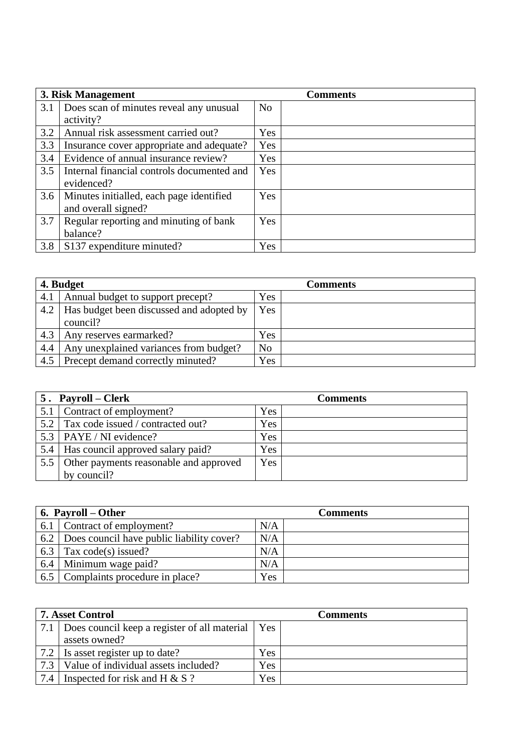|     | 3. Risk Management                         |            | <b>Comments</b> |
|-----|--------------------------------------------|------------|-----------------|
| 3.1 | Does scan of minutes reveal any unusual    | No         |                 |
|     | activity?                                  |            |                 |
| 3.2 | Annual risk assessment carried out?        | Yes        |                 |
| 3.3 | Insurance cover appropriate and adequate?  | <b>Yes</b> |                 |
| 3.4 | Evidence of annual insurance review?       | <b>Yes</b> |                 |
| 3.5 | Internal financial controls documented and | <b>Yes</b> |                 |
|     | evidenced?                                 |            |                 |
| 3.6 | Minutes initialled, each page identified   | <b>Yes</b> |                 |
|     | and overall signed?                        |            |                 |
| 3.7 | Regular reporting and minuting of bank     | Yes        |                 |
|     | balance?                                   |            |                 |
| 3.8 | S137 expenditure minuted?                  | <b>Yes</b> |                 |

| 4. Budget |                                                      |                | <b>Comments</b> |
|-----------|------------------------------------------------------|----------------|-----------------|
| 4.1       | Annual budget to support precept?                    | Yes            |                 |
| 4.2       | Has budget been discussed and adopted by<br>council? | Yes            |                 |
| 4.3       | Any reserves earmarked?                              | <b>Yes</b>     |                 |
| 4.4       | Any unexplained variances from budget?               | N <sub>o</sub> |                 |
| 4.5       | Precept demand correctly minuted?                    | Yes            |                 |

|     | 5. Payroll – Clerk                         | <b>Comments</b> |
|-----|--------------------------------------------|-----------------|
| 5.1 | Contract of employment?                    | Yes             |
| 5.2 | Tax code issued / contracted out?          | Yes             |
|     | 5.3   PAYE / NI evidence?                  | Yes             |
| 5.4 | Has council approved salary paid?          | Yes             |
|     | 5.5 Other payments reasonable and approved | Yes             |
|     | by council?                                |                 |

|     | $\vert$ 6. Payroll – Other                    | <b>Comments</b> |
|-----|-----------------------------------------------|-----------------|
| 6.1 | Contract of employment?                       | N/A             |
|     | 6.2 Does council have public liability cover? | N/A             |
|     | 6.3 $\vert$ Tax code(s) issued?               | N/A             |
|     | 6.4 Minimum wage paid?                        | N/A             |
|     | 6.5 Complaints procedure in place?            | Yes             |

|     | 7. Asset Control                                       |     | <b>Comments</b> |
|-----|--------------------------------------------------------|-----|-----------------|
|     | 7.1 Does council keep a register of all material   Yes |     |                 |
|     | assets owned?                                          |     |                 |
|     | $\vert 7.2 \vert$ Is asset register up to date?        | Yes |                 |
| 7.3 | Value of individual assets included?                   | Yes |                 |
| 7.4 | Inspected for risk and H $& S$ ?                       | Yes |                 |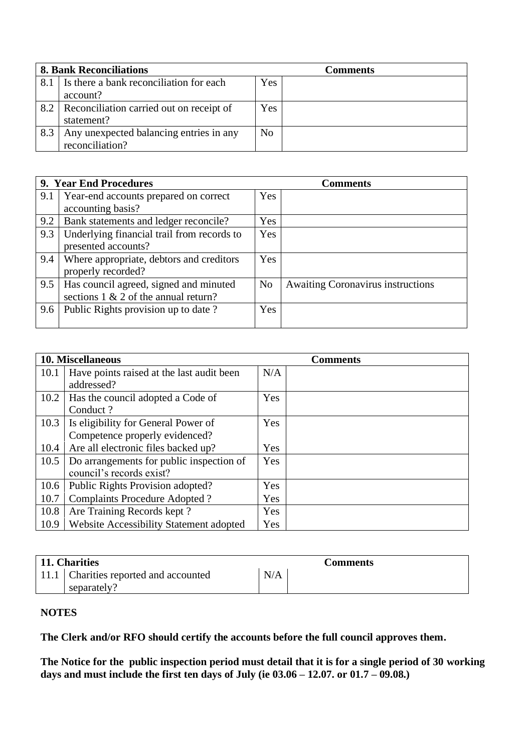| <b>8. Bank Reconciliations</b> |                                          |                | Comments |
|--------------------------------|------------------------------------------|----------------|----------|
| 8.1                            | Is there a bank reconciliation for each  | Yes            |          |
|                                | account?                                 |                |          |
| 8.2                            | Reconciliation carried out on receipt of | Yes            |          |
|                                | statement?                               |                |          |
| 8.3                            | Any unexpected balancing entries in any  | N <sub>o</sub> |          |
|                                | reconciliation?                          |                |          |

|     | 9. Year End Procedures                                                            |                | <b>Comments</b>                          |
|-----|-----------------------------------------------------------------------------------|----------------|------------------------------------------|
| 9.1 | Year-end accounts prepared on correct<br>accounting basis?                        | Yes            |                                          |
| 9.2 | Bank statements and ledger reconcile?                                             | Yes            |                                          |
| 9.3 | Underlying financial trail from records to<br>presented accounts?                 | Yes            |                                          |
| 9.4 | Where appropriate, debtors and creditors<br>properly recorded?                    | Yes            |                                          |
| 9.5 | Has council agreed, signed and minuted<br>sections $1 \& 2$ of the annual return? | N <sub>o</sub> | <b>Awaiting Coronavirus instructions</b> |
| 9.6 | Public Rights provision up to date?                                               | Yes            |                                          |

|      | <b>10. Miscellaneous</b>                  |     | <b>Comments</b> |
|------|-------------------------------------------|-----|-----------------|
| 10.1 | Have points raised at the last audit been | N/A |                 |
|      | addressed?                                |     |                 |
|      | 10.2   Has the council adopted a Code of  | Yes |                 |
|      | Conduct?                                  |     |                 |
| 10.3 | Is eligibility for General Power of       | Yes |                 |
|      | Competence properly evidenced?            |     |                 |
| 10.4 | Are all electronic files backed up?       | Yes |                 |
| 10.5 | Do arrangements for public inspection of  | Yes |                 |
|      | council's records exist?                  |     |                 |
| 10.6 | Public Rights Provision adopted?          | Yes |                 |
| 10.7 | <b>Complaints Procedure Adopted?</b>      | Yes |                 |
| 10.8 | Are Training Records kept?                | Yes |                 |
| 10.9 | Website Accessibility Statement adopted   | Yes |                 |

| 11. Charities                           |     | <b>Comments</b> |
|-----------------------------------------|-----|-----------------|
| 11.1   Charities reported and accounted | N/A |                 |
| separately?                             |     |                 |

## **NOTES**

**The Clerk and/or RFO should certify the accounts before the full council approves them.**

**The Notice for the public inspection period must detail that it is for a single period of 30 working days and must include the first ten days of July (ie 03.06 – 12.07. or 01.7 – 09.08.)**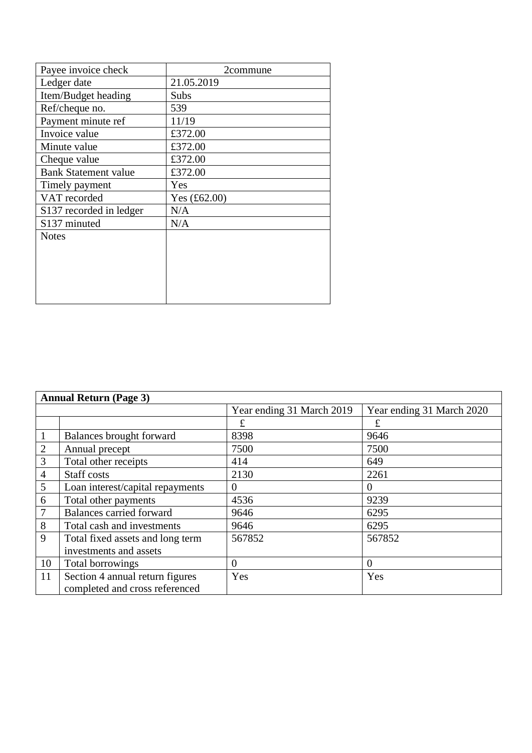| Payee invoice check         | 2commune       |
|-----------------------------|----------------|
| Ledger date                 | 21.05.2019     |
| Item/Budget heading         | Subs           |
| Ref/cheque no.              | 539            |
| Payment minute ref          | 11/19          |
| Invoice value               | £372.00        |
| Minute value                | £372.00        |
| Cheque value                | £372.00        |
| <b>Bank Statement value</b> | £372.00        |
| Timely payment              | Yes            |
| VAT recorded                | Yes $(f62.00)$ |
| S137 recorded in ledger     | N/A            |
| S137 minuted                | N/A            |
| <b>Notes</b>                |                |
|                             |                |
|                             |                |
|                             |                |
|                             |                |
|                             |                |

| <b>Annual Return (Page 3)</b> |                                  |                           |                           |
|-------------------------------|----------------------------------|---------------------------|---------------------------|
|                               |                                  | Year ending 31 March 2019 | Year ending 31 March 2020 |
|                               |                                  | £                         | £                         |
| $\mathbf{1}$                  | Balances brought forward         | 8398                      | 9646                      |
| $\mathbf{2}$                  | Annual precept                   | 7500                      | 7500                      |
| 3                             | Total other receipts             | 414                       | 649                       |
| $\overline{4}$                | <b>Staff</b> costs               | 2130                      | 2261                      |
| 5                             | Loan interest/capital repayments | $\Omega$                  | 0                         |
| 6                             | Total other payments             | 4536                      | 9239                      |
| $\overline{7}$                | <b>Balances carried forward</b>  | 9646                      | 6295                      |
| 8                             | Total cash and investments       | 9646                      | 6295                      |
| 9                             | Total fixed assets and long term | 567852                    | 567852                    |
|                               | investments and assets           |                           |                           |
| 10                            | Total borrowings                 | $\Omega$                  | $\Omega$                  |
| 11                            | Section 4 annual return figures  | Yes                       | Yes                       |
|                               | completed and cross referenced   |                           |                           |